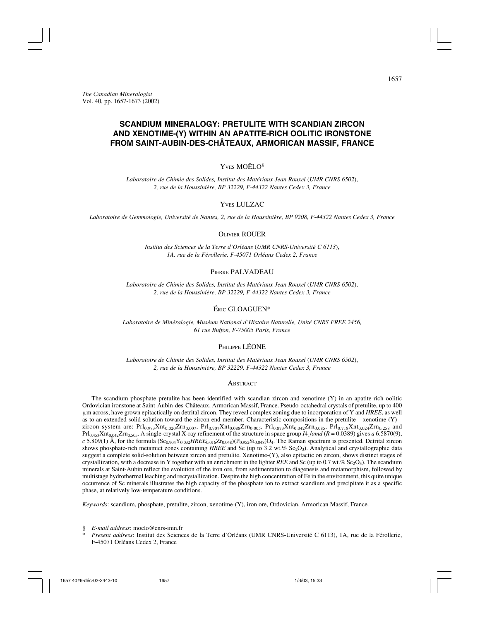# **SCANDIUM MINERALOGY: PRETULITE WITH SCANDIAN ZIRCON AND XENOTIME-(Y) WITHIN AN APATITE-RICH OOLITIC IRONSTONE FROM SAINT-AUBIN-DES-CHÂTEAUX, ARMORICAN MASSIF, FRANCE**

# Y<sub>VES</sub> MOËLO<sup>§</sup>

*Laboratoire de Chimie des Solides, Institut des Matériaux Jean Rouxel* (*UMR CNRS 6502*), *2, rue de la Houssinière, BP 32229, F-44322 Nantes Cedex 3, France*

# YVES LULZAC

*Laboratoire de Gemmologie, Université de Nantes, 2, rue de la Houssinière, BP 9208, F-44322 Nantes Cedex 3, France*

### OLIVIER ROUER

*Institut des Sciences de la Terre d'Orléans* (*UMR CNRS-Université C 6113*), *1A, rue de la Férollerie, F-45071 Orléans Cedex 2, France*

#### PIERRE PALVADEAU

*Laboratoire de Chimie des Solides, Institut des Matériaux Jean Rouxel* (*UMR CNRS 6502*), *2, rue de la Houssinière, BP 32229, F-44322 Nantes Cedex 3, France*

# ÉRIC GLOAGUEN\*

*Laboratoire de Minéralogie, Muséum National d'Histoire Naturelle, Unité CNRS FREE 2456, 61 rue Buffon, F-75005 Paris, France*

# PHILIPPE LÉONE

*Laboratoire de Chimie des Solides, Institut des Matériaux Jean Rouxel* (*UMR CNRS 6502*), *2, rue de la Houssinière, BP 32229, F-44322 Nantes Cedex 3, France*

#### **ABSTRACT**

The scandium phosphate pretulite has been identified with scandian zircon and xenotime- $(Y)$  in an apatite-rich oolitic Ordovician ironstone at Saint-Aubin-des-Châteaux, Armorican Massif, France. Pseudo-octahedral crystals of pretulite, up to 400 m across, have grown epitactically on detrital zircon. They reveal complex zoning due to incorporation of Y and *HREE*, as well as to an extended solid-solution toward the zircon end-member. Characteristic compositions in the pretulite – xenotime- $(Y)$  – zircon system are: Prl<sub>0.973</sub>Xnt<sub>0.020</sub>Zrn<sub>0.007</sub>, Prl<sub>0.907</sub>Xnt<sub>0.088</sub>Zrn<sub>0.005</sub>, Prl<sub>0.873</sub>Xnt<sub>0.042</sub>Zrn<sub>0.085</sub>, Prl<sub>0.718</sub>Xnt<sub>0.024</sub>Zrn<sub>0.258</sub> and  $Prl_{0.453}Xnt_{0.042}Zrn_{0.505}$ . A single-crystal X-ray refinement of the structure in space group  $I4_1/$ *and* ( $R = 0.0389$ ) gives *a* 6.5870(9),  $c$  5.809(1) Å, for the formula  $(\text{Sc}_{0.904}Y_{0.032}HREE_{0.016}Zr_{0.048})(P_{0.952}Si_{0.048})O_4$ . The Raman spectrum is presented. Detrital zircon shows phosphate-rich metamict zones containing *HREE* and Sc (up to 3.2 wt.% Sc<sub>2</sub>O<sub>3</sub>). Analytical and crystallographic data suggest a complete solid-solution between zircon and pretulite. Xenotime-(Y), also epitactic on zircon, shows distinct stages of crystallization, with a decrease in Y together with an enrichment in the lighter *REE* and Sc (up to 0.7 wt.% Sc<sub>2</sub>O<sub>3</sub>). The scandium minerals at Saint-Aubin reflect the evolution of the iron ore, from sedimentation to diagenesis and metamorphism, followed by multistage hydrothermal leaching and recrystallization. Despite the high concentration of Fe in the environment, this quite unique occurrence of Sc minerals illustrates the high capacity of the phosphate ion to extract scandium and precipitate it as a specific phase, at relatively low-temperature conditions.

*Keywords*: scandium, phosphate, pretulite, zircon, xenotime-(Y), iron ore, Ordovician, Armorican Massif, France.

<sup>§</sup> *E-mail address*: moelo@cnrs-imn.fr

<sup>\*</sup> *Present address*: Institut des Sciences de la Terre d'Orléans (UMR CNRS-Université C 6113), 1A, rue de la Férollerie, F-45071 Orléans Cedex 2, France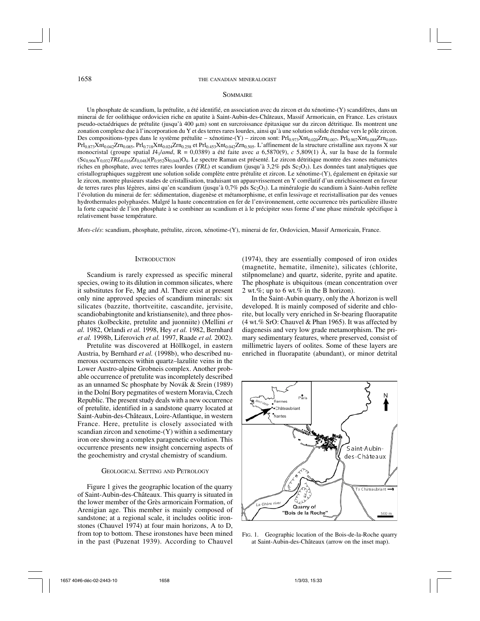#### **SOMMAIRE**

Un phosphate de scandium, la prétulite, a été identifié, en association avec du zircon et du xénotime-(Y) scandifères, dans un minerai de fer oolithique ordovicien riche en apatite à Saint-Aubin-des-Châteaux, Massif Armoricain, en France. Les cristaux pseudo-octaédriques de prétulite (jusqu'à 400  $\mu$ m) sont en surcroissance épitaxique sur du zircon détritique. Ils montrent une zonation complexe due à l'incorporation du Y et des terres rares lourdes, ainsi qu'à une solution solide étendue vers le pôle zircon. Des compositions-types dans le système prétulite – xénotime-(Y) – zircon sont: Prl<sub>0.973</sub>Xnt<sub>0.020</sub>Zrn<sub>0.007</sub>, Prl<sub>0.907</sub>Xnt<sub>0.088</sub>Zrn<sub>0.005</sub>,  $Prl_{0.873}Xnt_{0.042}Zrn_{0.085}$ ,  $Prl_{0.718}Xnt_{0.024}Zrn_{0.258}$  et  $Prl_{0.453}Xnt_{0.042}Zrn_{0.505}$ . L'affinement de la structure cristalline aux rayons X sur monocristal (groupe spatial *I*41/*amd*, R = 0,0389) a été faite avec *a* 6,5870(9), *c* 5,809(1) Å, sur la base de la formule  $(Sc_{0.904}Y_{0.032}TRL_{0.016}Zr_{0.048})$ ( $P_{0.952}Si_{0.048}$ )O<sub>4</sub>. Le spectre Raman est présenté. Le zircon détritique montre des zones métamictes riches en phosphate, avec terres rares lourdes *(TRL)* et scandium (jusqu'à 3,2% pds Sc<sub>2</sub>O<sub>3</sub>). Les données tant analytiques que cristallographiques suggèrent une solution solide complète entre prétulite et zircon. Le xénotime-(Y), également en épitaxie sur le zircon, montre plusieurs stades de cristallisation, traduisant un appauvrissement en Y corrélatif d'un enrichissement en faveur de terres rares plus légères, ainsi qu'en scandium (jusqu'à 0,7% pds Sc<sub>2</sub>O<sub>3</sub>). La minéralogie du scandium à Saint-Aubin reflète l'évolution du minerai de fer: sédimentation, diagenèse et métamorphisme, et enfin lessivage et recristallisation par des venues hydrothermales polyphasées. Malgré la haute concentration en fer de l'environnement, cette occurrence très particulière illustre la forte capacité de l'ion phosphate à se combiner au scandium et à le précipiter sous forme d'une phase minérale spécifique à relativement basse température.

*Mots-clés*: scandium, phosphate, prétulite, zircon, xénotime-(Y), minerai de fer, Ordovicien, Massif Armoricain, France.

### **INTRODUCTION**

Scandium is rarely expressed as specific mineral species, owing to its dilution in common silicates, where it substitutes for Fe, Mg and Al. There exist at present only nine approved species of scandium minerals: six silicates (bazzite, thortveitite, cascandite, jervisite, scandiobabingtonite and kristiansenite), and three phosphates (kolbeckite, pretulite and juonniite) (Mellini *et al.* 1982, Orlandi *et al.* 1998, Hey *et al.* 1982, Bernhard *et al.* 1998b, Liferovich *et al.* 1997, Raade *et al.* 2002).

Pretulite was discovered at Höllkogel, in eastern Austria, by Bernhard *et al.* (1998b), who described numerous occurrences within quartz–lazulite veins in the Lower Austro-alpine Grobneis complex. Another probable occurrence of pretulite was incompletely described as an unnamed Sc phosphate by Novák & Srein (1989) in the Dolní Bory pegmatites of western Moravia, Czech Republic. The present study deals with a new occurrence of pretulite, identified in a sandstone quarry located at Saint-Aubin-des-Châteaux, Loire-Atlantique, in western France. Here, pretulite is closely associated with scandian zircon and xenotime-(Y) within a sedimentary iron ore showing a complex paragenetic evolution. This occurrence presents new insight concerning aspects of the geochemistry and crystal chemistry of scandium.

### GEOLOGICAL SETTING AND PETROLOGY

Figure 1 gives the geographic location of the quarry of Saint-Aubin-des-Châteaux. This quarry is situated in the lower member of the Grès armoricain Formation, of Arenigian age. This member is mainly composed of sandstone; at a regional scale, it includes oolitic ironstones (Chauvel 1974) at four main horizons, A to D, from top to bottom. These ironstones have been mined in the past (Puzenat 1939). According to Chauvel

(1974), they are essentially composed of iron oxides (magnetite, hematite, ilmenite), silicates (chlorite, stilpnomelane) and quartz, siderite, pyrite and apatite. The phosphate is ubiquitous (mean concentration over 2 wt.%; up to 6 wt.% in the B horizon).

In the Saint-Aubin quarry, only the A horizon is well developed. It is mainly composed of siderite and chlorite, but locally very enriched in Sr-bearing fluorapatite (4 wt.% SrO: Chauvel & Phan 1965). It was affected by diagenesis and very low grade metamorphism. The primary sedimentary features, where preserved, consist of millimetric layers of oolites. Some of these layers are enriched in fluorapatite (abundant), or minor detrital



FIG. 1. Geographic location of the Bois-de-la-Roche quarry at Saint-Aubin-des-Châteaux (arrow on the inset map).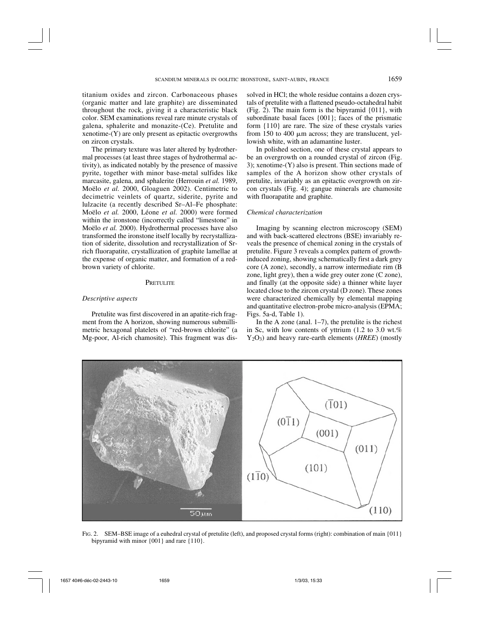titanium oxides and zircon. Carbonaceous phases (organic matter and late graphite) are disseminated throughout the rock, giving it a characteristic black color. SEM examinations reveal rare minute crystals of galena, sphalerite and monazite-(Ce). Pretulite and xenotime-(Y) are only present as epitactic overgrowths on zircon crystals.

The primary texture was later altered by hydrothermal processes (at least three stages of hydrothermal activity), as indicated notably by the presence of massive pyrite, together with minor base-metal sulfides like marcasite, galena, and sphalerite (Herrouin *et al.* 1989, Moëlo *et al.* 2000, Gloaguen 2002). Centimetric to decimetric veinlets of quartz, siderite, pyrite and lulzacite (a recently described Sr–Al–Fe phosphate: Moëlo *et al.* 2000, Léone *et al.* 2000) were formed within the ironstone (incorrectly called "limestone" in Moëlo *et al.* 2000). Hydrothermal processes have also transformed the ironstone itself locally by recrystallization of siderite, dissolution and recrystallization of Srrich fluorapatite, crystallization of graphite lamellae at the expense of organic matter, and formation of a redbrown variety of chlorite.

### **PRETULITE**

## *Descriptive aspects*

Pretulite was first discovered in an apatite-rich fragment from the A horizon, showing numerous submillimetric hexagonal platelets of "red-brown chlorite" (a Mg-poor, Al-rich chamosite). This fragment was dissolved in HCl; the whole residue contains a dozen crystals of pretulite with a flattened pseudo-octahedral habit (Fig. 2). The main form is the bipyramid  $\{011\}$ , with subordinate basal faces {001}; faces of the prismatic form {110} are rare. The size of these crystals varies from 150 to 400  $\mu$ m across; they are translucent, yellowish white, with an adamantine luster.

In polished section, one of these crystal appears to be an overgrowth on a rounded crystal of zircon (Fig. 3); xenotime-(Y) also is present. Thin sections made of samples of the A horizon show other crystals of pretulite, invariably as an epitactic overgrowth on zircon crystals (Fig. 4); gangue minerals are chamosite with fluorapatite and graphite.

## *Chemical characterization*

Imaging by scanning electron microscopy (SEM) and with back-scattered electrons (BSE) invariably reveals the presence of chemical zoning in the crystals of pretulite. Figure 3 reveals a complex pattern of growthinduced zoning, showing schematically first a dark grey core (A zone), secondly, a narrow intermediate rim (B zone, light grey), then a wide grey outer zone (C zone), and finally (at the opposite side) a thinner white layer located close to the zircon crystal (D zone). These zones were characterized chemically by elemental mapping and quantitative electron-probe micro-analysis (EPMA; Figs. 5a-d, Table 1).

In the A zone (anal.  $1-7$ ), the pretulite is the richest in Sc, with low contents of yttrium (1.2 to 3.0 wt.%) Y2O3) and heavy rare-earth elements (*HREE*) (mostly



FIG. 2. SEM–BSE image of a euhedral crystal of pretulite (left), and proposed crystal forms (right): combination of main {011} bipyramid with minor {001} and rare {110}.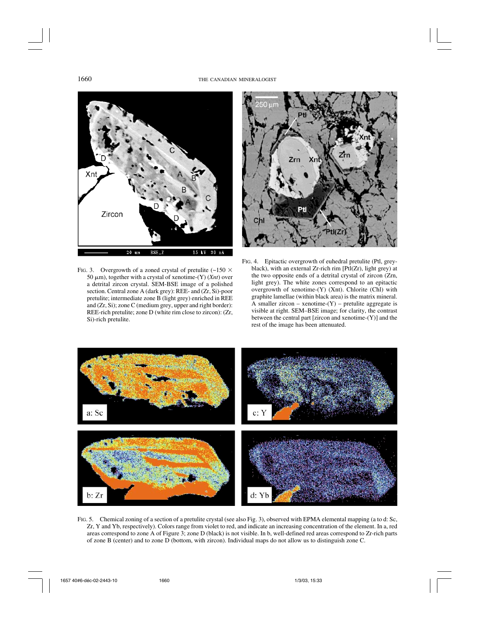

FIG. 3. Overgrowth of a zoned crystal of pretulite  $(-150 \times$ 50  $\mu$ m), together with a crystal of xenotime- $(Y)$  (*Xnt*) over a detrital zircon crystal. SEM-BSE image of a polished section. Central zone A (dark grey): REE- and (Zr, Si)-poor pretulite; intermediate zone B (light grey) enriched in REE and (Zr, Si); zone C (medium grey, upper and right border): REE-rich pretulite; zone D (white rim close to zircon): (Zr, Si)-rich pretulite.



FIG. 4. Epitactic overgrowth of euhedral pretulite (Ptl, greyblack), with an external Zr-rich rim  $[PtI(Zr), Iight grey)$  at the two opposite ends of a detrital crystal of zircon (Zrn, light grey). The white zones correspond to an epitactic overgrowth of xenotime-(Y) (Xnt). Chlorite (Chl) with graphite lamellae (within black area) is the matrix mineral. A smaller zircon – xenotime- $(Y)$  – pretulite aggregate is visible at right. SEM–BSE image; for clarity, the contrast between the central part [zircon and xenotime-(Y)] and the rest of the image has been attenuated.



FIG. 5. Chemical zoning of a section of a pretulite crystal (see also Fig. 3), observed with EPMA elemental mapping (a to d: Sc, Zr, Y and Yb, respectively). Colors range from violet to red, and indicate an increasing concentration of the element. In a, red areas correspond to zone A of Figure 3; zone D (black) is not visible. In b, well-defined red areas correspond to Zr-rich parts of zone B (center) and to zone D (bottom, with zircon). Individual maps do not allow us to distinguish zone C.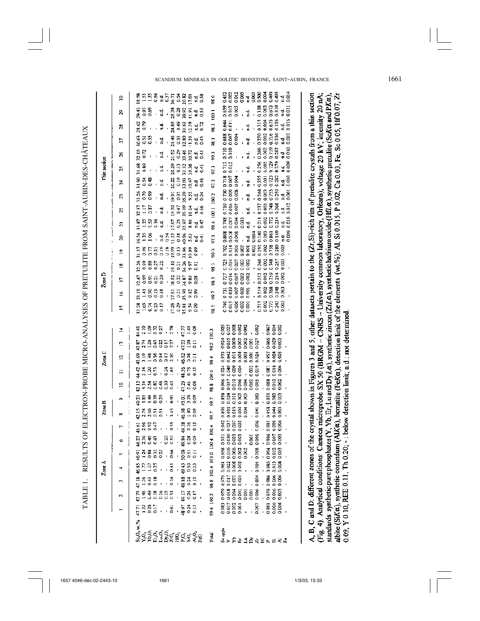| ١                                                                                                                                                                                                                                                    |
|------------------------------------------------------------------------------------------------------------------------------------------------------------------------------------------------------------------------------------------------------|
| ו<br>ון<br>!                                                                                                                                                                                                                                         |
| recept of the strip of the concern of the strip of the strip of the strip of the strip of the strip of the strip of the strip of the strip of the strip of the strip of the strip of the strip of the strip of the strip of th<br>l<br>$\frac{1}{2}$ |
|                                                                                                                                                                                                                                                      |
|                                                                                                                                                                                                                                                      |
|                                                                                                                                                                                                                                                      |
|                                                                                                                                                                                                                                                      |
|                                                                                                                                                                                                                                                      |
|                                                                                                                                                                                                                                                      |
|                                                                                                                                                                                                                                                      |
|                                                                                                                                                                                                                                                      |
|                                                                                                                                                                                                                                                      |
|                                                                                                                                                                                                                                                      |
|                                                                                                                                                                                                                                                      |
|                                                                                                                                                                                                                                                      |
|                                                                                                                                                                                                                                                      |
|                                                                                                                                                                                                                                                      |
|                                                                                                                                                                                                                                                      |
|                                                                                                                                                                                                                                                      |
|                                                                                                                                                                                                                                                      |
|                                                                                                                                                                                                                                                      |
|                                                                                                                                                                                                                                                      |
|                                                                                                                                                                                                                                                      |
|                                                                                                                                                                                                                                                      |
|                                                                                                                                                                                                                                                      |
|                                                                                                                                                                                                                                                      |
|                                                                                                                                                                                                                                                      |
|                                                                                                                                                                                                                                                      |
|                                                                                                                                                                                                                                                      |
|                                                                                                                                                                                                                                                      |
|                                                                                                                                                                                                                                                      |
|                                                                                                                                                                                                                                                      |
|                                                                                                                                                                                                                                                      |
|                                                                                                                                                                                                                                                      |
|                                                                                                                                                                                                                                                      |
| $\overline{a}$                                                                                                                                                                                                                                       |
|                                                                                                                                                                                                                                                      |
| ו<br>ו                                                                                                                                                                                                                                               |
| LABI                                                                                                                                                                                                                                                 |
|                                                                                                                                                                                                                                                      |

|              | ន្ត | ន្ទី ដឹងថ្ងៃ ដឹងថ្ងៃ ដឹងថ្ងៃ<br>តំបូង ដឹងថ្ងៃ ដឹងថ្ងៃ ដឹងថ្ងៃ                                                                                                                                                                                                                                                       | 98.0                 | <b>9888-88888</b><br>9888-988888                                                                                     |
|--------------|-----|---------------------------------------------------------------------------------------------------------------------------------------------------------------------------------------------------------------------------------------------------------------------------------------------------------------------|----------------------|----------------------------------------------------------------------------------------------------------------------|
|              | S.  | 888 d 8885<br>800 d 8885                                                                                                                                                                                                                                                                                            | 100.1                | <b>3883</b><br>5885345<br>$\frac{353}{300}$ , $\frac{4}{5}$ ,                                                        |
|              | 28  | ar<br>1980 - Alexandric<br>1980 - Alexandric                                                                                                                                                                                                                                                                        | 98.3                 |                                                                                                                      |
|              |     |                                                                                                                                                                                                                                                                                                                     |                      | និទ្ធិកូន =<br>កូនីកូនី = =                                                                                          |
|              | r.  | 2022 4 302242<br>2022 - 2022                                                                                                                                                                                                                                                                                        | 58.1                 | 88 중흥<br>०००<br>힣                                                                                                    |
|              | g   | ១៥ - ១ ដឹងទទួត។<br>បាន - ១ ដឹងទទួត។                                                                                                                                                                                                                                                                                 | 99.3                 | 0.010<br><b>12.388233</b><br>12.388233<br>0.710                                                                      |
| Thin section | Z,  | 888 d 8553845<br>50''" SORSC                                                                                                                                                                                                                                                                                        | 97.3                 | 3888<br>388848<br>0.713<br>0.012<br>$\frac{d}{dt}$ ,                                                                 |
|              | z   | न<br>अन्न संस्कृत स्टब्स्<br>अन्न संस्कृत स्टब्स्                                                                                                                                                                                                                                                                   | 97.3                 | 0.718<br>$\frac{3}{4}$ . 358846<br>0.007<br>0.004                                                                    |
|              | S.  | ង្គន្ថិ ។ គ្មីនិងនិង។<br>កំពុង គឺ គឺមាន គឺ                                                                                                                                                                                                                                                                          | 100.2                | 116565<br>1165651<br>11666<br>980<br>087<br>0.008<br>훧.                                                              |
|              | 25  | 1115<br>1116 - 1256<br>1116 - 1266                                                                                                                                                                                                                                                                                  | 100.1                |                                                                                                                      |
|              | គ   | ិដែលអ្នក 2022<br>ក្នុងស្ទឹង 2022 មិន                                                                                                                                                                                                                                                                                | 98.6                 | 118873<br>000734<br>00084                                                                                            |
|              | g   |                                                                                                                                                                                                                                                                                                                     | 97.3                 | 0.008<br>0.808                                                                                                       |
|              | ድ   | 1985195852888.                                                                                                                                                                                                                                                                                                      | 90                   | 8<br>8<br>8<br>8<br>8<br>8<br>8<br>8<br>8<br>8<br>0.02<br>0.738<br>0.280<br>$\frac{3}{2}$<br>0.014<br>0.006<br>0.702 |
|              | 2   | ងខេត្ត<br>សូម មាន ដូចដូច ។<br>សូម មាន ដូចដូច ។                                                                                                                                                                                                                                                                      | 98.3                 | 0240<br>$0.748$<br>0.748<br>0.003<br>1100<br>0000<br>0000<br>0.725                                                   |
| Zone D       | ÷,  | ទីទី១១១ ដែលមិនទី ។<br>កំនូនដូន ដឹងដឹងទី ។                                                                                                                                                                                                                                                                           | 58.3                 | $\frac{1}{2}$<br>88<br>888<br>0000<br>225<br>25888<br>00000                                                          |
|              | Ž   | មិដទីមួន ៥មិដទីខ្លួ<br>មួយស្ថិត ដូច្នេះ ដូច្នេះ                                                                                                                                                                                                                                                                     | ć 66                 | 0,219<br>00233<br>0.023<br>0.000                                                                                     |
|              | Ľ,  | 888585 88588<br>SHOOO ESS                                                                                                                                                                                                                                                                                           | 58.S                 | 11855<br>11855<br>1186<br>oo:<br>0002<br>0.006<br>8<br>0.00                                                          |
|              | ¥,  | ្រុក ខេត្ត ខេត្ត ខេត្ត<br>កំពុង ខេត្ត ខេត្ត ខេត្ត                                                                                                                                                                                                                                                                   | 100.3                | 88888<br>88888<br>$\frac{83}{300}$<br>್ದರ                                                                            |
|              | n   | ុត្តគ្នា ,<br>ទ្ធិកម្មជួយ<br>ឆ្នាំក៏កំបូចក្ត                                                                                                                                                                                                                                                                        | 99.5                 | 888<br>888                                                                                                           |
| Zone C       | 5   | $\frac{28}{9}$<br>en a a a a a<br>Sua a a a a a                                                                                                                                                                                                                                                                     | 98.4                 | 53<br>0.09<br>0.09<br>3353553<br>3355555                                                                             |
|              | Ξ   | ္မွဳ မွဳ ၁၁<br>( မွာ ၁၀ -<br>ទុក្ខនិង<br>ភិមិក្ខុ ខ្ទុ                                                                                                                                                                                                                                                              |                      |                                                                                                                      |
|              |     |                                                                                                                                                                                                                                                                                                                     |                      | *****<br>****                                                                                                        |
|              | ≘   |                                                                                                                                                                                                                                                                                                                     | 100.6                | $\frac{302}{0.019}$<br>381<br>0.018<br>0.004                                                                         |
|              |     | ពុក<br>ពុក<br>ពុក<br>ាដូងអង្គមួ<br>ក្នុងអង្គមួ                                                                                                                                                                                                                                                                      | 98.B                 | 335<br>0.002<br>0.002                                                                                                |
| Zone B       | œ   | ដូកទី<br>ឆ្នាំទី :<br>22232.8<br>Î,                                                                                                                                                                                                                                                                                 | 5,66                 | 0.083<br>388<br>088<br>000<br>334<br>0000<br>00000<br>$\overline{1}$                                                 |
|              |     | $\frac{45}{3}$<br>$888$<br>$988$<br>ក្នុងទី១១<br>ក្នុងទី១១                                                                                                                                                                                                                                                          | 99.7                 | 886<br>8861<br>00000<br>0.041<br>88<br>0.88<br>0.89<br>$\frac{1}{2}$                                                 |
|              | ۰   | 0.55<br>ុក្ខន្ធ<br>ភូននុះ<br>ទំនន់ :                                                                                                                                                                                                                                                                                | 100.4                | $\frac{36}{2}$<br>35<br>355<br>0000<br>588<br>0.000                                                                  |
|              |     | ।<br>ମୁନ୍ଦ୍ର - ସୁନ୍ଧ - ସୁନ୍ଧ - ମୁନ୍ଦ - ମୁନ୍ଦ - ମୁନ୍ଦ - ମୁନ୍ଦ - ମୁନ୍ଦ - ମୁନ୍ଦ - ମୁନ୍ଦ -                                                                                                                                                                                                                              |                      | 55888 5888888                                                                                                        |
|              |     |                                                                                                                                                                                                                                                                                                                     |                      | 338 323<br>0.000 323<br>0.000 0.000 3300 0.000                                                                       |
| Zone A       |     | $\frac{1}{2}$ $\frac{1}{2}$ $\frac{5}{2}$ $\frac{3}{2}$ $\frac{3}{2}$ $\frac{3}{2}$ $\frac{3}{2}$ $\frac{3}{2}$ $\frac{3}{2}$ $\frac{3}{2}$ $\frac{3}{2}$ $\frac{3}{2}$ $\frac{3}{2}$ $\frac{3}{2}$ $\frac{3}{2}$ $\frac{3}{2}$ $\frac{3}{2}$ $\frac{3}{2}$ $\frac{3}{2}$ $\frac{3}{2}$ $\frac{3}{2}$ $\frac{3}{2}$ |                      | <b>553333</b><br>090838<br>09090 - 0918600                                                                           |
|              |     | 1989 - 1983 - 1989 - 1989 - 1980 - 1980 - 1980 - 1980 - 1980 - 1980 - 1980 - 1980 - 1980 - 1980 - 1980 - 1980<br>1980 - 1980 - 1980 - 1980 - 1980 - 1980 - 1980 - 1980 - 1980 - 1980 - 1980 - 1980 - 1980 - 1980 - 1980 - 1980                                                                                      | 98.8 100.4 101.0 100 | $350000$<br>$350000$<br>$350000$<br>$350000$<br>$350000$<br>$350000$                                                 |
|              |     | 음북육음음음음 : 특진들<br>특구호후후음음 : 종후후                                                                                                                                                                                                                                                                                      |                      |                                                                                                                      |
|              |     | wt.%                                                                                                                                                                                                                                                                                                                | 99.4 100.3           | 38158<br>0008 8 88888<br>0008 1 8 8888                                                                               |

A, B, C and D: different zones of the crystal shown in Figures 3 and 5, other datasets pertain to the (Zr, Si)-rich rim of pretulite crystals from a thin section (Fig. 4). Analytical conditions: Cameca microprobe SX 50 (BRGM - CNRS - University common laboratory, Orléans); voltage 20 kV; intensity 20 nA; standards: synthetic pure phosphates (Y, Yb, Er, Lu and Dy La), synthetic zircon (ZrLa), synthetic hafnium oxide (HfLa), synthetic pretulite (ScKa and PKa), albite (SiKa), synthetic corundum (AlKa), hematite (FeKa); detection limit of the elements (wt.%): Al, Si 0.015, P 0.02, Ca 0.03, Fe, Sc 0.05, Hf 0.07, Zr  $0.09$ , Y 0.10, REE 0.11, Th 0.20; -: below detection limit; n.d.: not determined.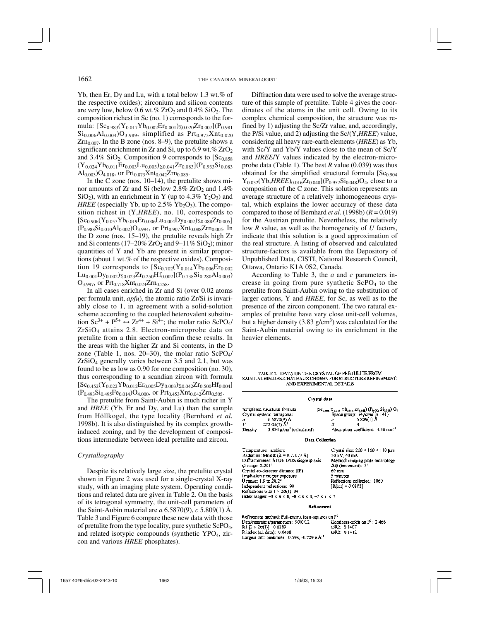Yb, then Er, Dy and Lu, with a total below 1.3 wt.% of the respective oxides); zirconium and silicon contents are very low, below 0.6 wt.%  $ZrO<sub>2</sub>$  and 0.4%  $SiO<sub>2</sub>$ . The composition richest in Sc (no. 1) corresponds to the formula:  $[Sc_{0.983}(Y_{0.017}Yb_{0.002}Er_{0.001})\Sigma_{0.020}Zr_{0.007}](P_{0.981}$  $Si_{0.006}Al_{0.004}O_{3.989}$ , simplified as Prt<sub>0.973</sub>Xnt<sub>0.020</sub>  $Zrn<sub>0.007</sub>$ . In the B zone (nos. 8–9), the pretulite shows a significant enrichment in Zr and Si, up to 6.9 wt. %  $ZrO<sub>2</sub>$ and 3.4%  $SiO<sub>2</sub>$ . Composition 9 corresponds to [Sc<sub>0.858</sub>]  $(Y_{0.024}Yb_{0.011}Er_{0.003}Lu_{0.003})\Sigma_{0.041}Zr_{0.083}](P_{0.933}Si_{0.083}$  $\text{Al}_{0.003}$ ) $\text{O}_{4.018}$ , or Prt<sub>0.873</sub>Xnt<sub>0.042</sub>Zrn<sub>0.085</sub>.

In the C zone (nos. 10–14), the pretulite shows minor amounts of Zr and Si (below  $2.8\%$  ZrO<sub>2</sub> and  $1.4\%$ SiO<sub>2</sub>), with an enrichment in Y (up to 4.3%  $Y_2O_3$ ) and *HREE* (especially Yb, up to  $2.5\%$  Yb<sub>2</sub>O<sub>3</sub>). The composition richest in (Y,*HREE*), no. 10, corresponds to  $[Sc_{0.906}(Y_{0.057}Yb_{0.019}Er_{0.006}Lu_{0.004}Dy_{0.002})\Sigma_{0.088}Zr_{0.005}]$  $(P_{0.988}Si_{0.010}Al_{0.002})O_{3.994}$ , or  $Pr_{0.907}Xnt_{0.088}Zrn_{0.005}$ . In the D zone (nos. 15–19), the pretulite reveals high Zr and Si contents (17–20%  $ZrO<sub>2</sub>$  and 9–11% SiO<sub>2</sub>); minor quantities of Y and Yb are present in similar proportions (about 1 wt.% of the respective oxides). Composition 19 corresponds to  $[Sc_{0.702}(Y_{0.014}Yb_{0.006}Er_{0.002}]$  $Lu_{0.001}Dy_{0.002}S_{0.023}Zr_{0.250}Hf_{0.002}[(P_{0.738}Si_{0.280}Al_{0.003})$  $O_{3.997}$ , or Prt<sub>0.718</sub>Xnt<sub>0.024</sub>Zrn<sub>0.258</sub>.

In all cases enriched in Zr and Si (over 0.02 atoms per formula unit, *apfu*), the atomic ratio Zr/Si is invariably close to 1, in agreement with a solid-solution scheme according to the coupled heterovalent substitution  $Sc^{3+} + P^{5+} \leftrightarrow Zr^{4+} + Si^{4+}$ ; the molar ratio ScPO<sub>4</sub>/ ZrSiO4 attains 2.8. Electron-microprobe data on pretulite from a thin section confirm these results. In the areas with the higher Zr and Si contents, in the D zone (Table 1, nos. 20–30), the molar ratio  $\text{SePO}_4$ / ZrSiO4 generally varies between 3.5 and 2.1, but was found to be as low as 0.90 for one composition (no. 30), thus corresponding to a scandian zircon with formula  $[Sc_{0.452}(Y_{0.022}Yb_{0.012}Er_{0.005}Dy_{0.003})\Sigma_{0.042}Zr_{0.500}Hf_{0.004}]$  $(P_{0.493}Si_{0.495}Fe_{0.014})O_{4.000}$ , or  $Prt_{0.453}Xnt_{0.042}Zrn_{0.505}$ .

The pretulite from Saint-Aubin is much richer in Y and *HREE* (Yb, Er and Dy, and Lu) than the sample from Höllkogel, the type locality (Bernhard *et al.* 1998b). It is also distinguished by its complex growthinduced zoning, and by the development of compositions intermediate between ideal pretulite and zircon.

#### *Crystallography*

Despite its relatively large size, the pretulite crystal shown in Figure 2 was used for a single-crystal X-ray study, with an imaging plate system. Operating conditions and related data are given in Table 2. On the basis of its tetragonal symmetry, the unit-cell parameters of the Saint-Aubin material are *a* 6.5870(9), *c* 5.809(1) Å. Table 3 and Figure 6 compare these new data with those of pretulite from the type locality, pure synthetic ScPO4, and related isotypic compounds (synthetic YPO<sub>4</sub>, zircon and various *HREE* phosphates).

Diffraction data were used to solve the average structure of this sample of pretulite. Table 4 gives the coordinates of the atoms in the unit cell. Owing to its complex chemical composition, the structure was refined by 1) adjusting the Sc/Zr value, and, accordingly, the P/Si value, and 2) adjusting the Sc/(Y,*HREE*) value, considering all heavy rare-earth elements (*HREE*) as Yb, with Sc/Y and Yb/Y values close to the mean of Sc/Y and *HREE*/Y values indicated by the electron-microprobe data (Table 1). The best *R* value (0.039) was thus obtained for the simplified structural formula  $[Sc<sub>0.904</sub>]$  $Y_{0.032}(Yb, HREE)_{0.016}Zr_{0.048}$  $(P_{0.952}Si_{0.048})O_4$ , close to a composition of the C zone. This solution represents an average structure of a relatively inhomogeneous crystal, which explains the lower accuracy of these data compared to those of Bernhard *et al.* (1998b)  $(R = 0.019)$ for the Austrian pretulite. Nevertheless, the relatively low *R* value, as well as the homogeneity of *U* factors, indicate that this solution is a good approximation of the real structure. A listing of observed and calculated structure-factors is available from the Depository of Unpublished Data, CISTI, National Research Council, Ottawa, Ontario K1A 0S2, Canada.

According to Table 3, the *a* and *c* parameters increase in going from pure synthetic ScPO<sub>4</sub> to the pretulite from Saint-Aubin owing to the substitution of larger cations, Y and *HREE*, for Sc, as well as to the presence of the zircon component. The two ratural examples of pretulite have very close unit-cell volumes, but a higher density  $(3.83 \text{ g/cm}^3)$  was calculated for the Saint-Aubin material owing to its enrichment in the heavier elements.

TABLE 2. DATA ON THE CRYSTAL OF PRETULITE FROM SAINT-AUBIN-DES-CHÂTEAUX CHOSEN FOR STRUCTURE REFINEMENT, AND EXPERIMENTAL DETAILS

| Crystal data                                                                                                                                                                                                                                                                                                                                                                                                      |                                                                                                                                                                                                                                                  |  |  |  |  |  |  |  |  |
|-------------------------------------------------------------------------------------------------------------------------------------------------------------------------------------------------------------------------------------------------------------------------------------------------------------------------------------------------------------------------------------------------------------------|--------------------------------------------------------------------------------------------------------------------------------------------------------------------------------------------------------------------------------------------------|--|--|--|--|--|--|--|--|
| Simplified structural formula<br>Crystal system: tetragonal<br>$6.5870(9)$ Å<br>a<br>$252.05(7)$ $\AA$ <sup>3</sup><br>V<br>$3.834$ g/cm <sup>3</sup> (calculated)<br>Density                                                                                                                                                                                                                                     | $(S_{\text{Gauss}}   Y_{\text{max}}   Y_{\text{Gauss}}   Z_{\text{Gauss}})$ $(P_{\text{Gauss}}   S_{\text{Gauss}})   O_{\text{Gauss}}$<br>Space group: 14, /amd (# 141)<br>5,809(1) Å<br>c<br>4<br>Absorption coefficient: 4.56 mm <sup>-1</sup> |  |  |  |  |  |  |  |  |
|                                                                                                                                                                                                                                                                                                                                                                                                                   | <b>Data Collection</b>                                                                                                                                                                                                                           |  |  |  |  |  |  |  |  |
| Temperature: ambient<br>Radiation: Mo <i>K</i> $\alpha$ ( $\lambda = 0.71073$ Å)<br>Diffractometer: STOE IPDS single $\phi$ axis<br>$\phi$ range: $0-201^\circ$<br>Crystal-to-detector distance (IP)<br>Irradiation time per exposure<br>$\theta$ range: 1.9 to 28.2°<br>Independent reflections: 90<br>Reflections with $I > 20(I)$ : 84<br>Index ranges: $-8 \le h \le 8$ , $-8 \le k \le 8$ , $-7 \le l \le 7$ | Crystal size: $200 \times 160 \times 110$ µm<br>50 kV, 40 mA<br>Method: imaging plate technology<br>$\Delta\phi$ (increment): $3^{\circ}$<br>60 mm<br>5 minutes<br>Reflections collected: 1060<br>$[R(int) = 0.0802]$                            |  |  |  |  |  |  |  |  |

#### **Refinement**

Refinement method: Full-matrix least-squares on F<sup>2</sup> Data/restraints/parameters: 90/0/12 Goodness-of-fit on F<sup>2</sup>: 2.466 RI [I > 20(I)] 0 0389 ωR<sub>2</sub>: 0,1407 R index (all data): 0.0408 ωR2: 0.1412 Largest diff. peak/hole: 0.598, -0.729 e.Å<sup>3</sup>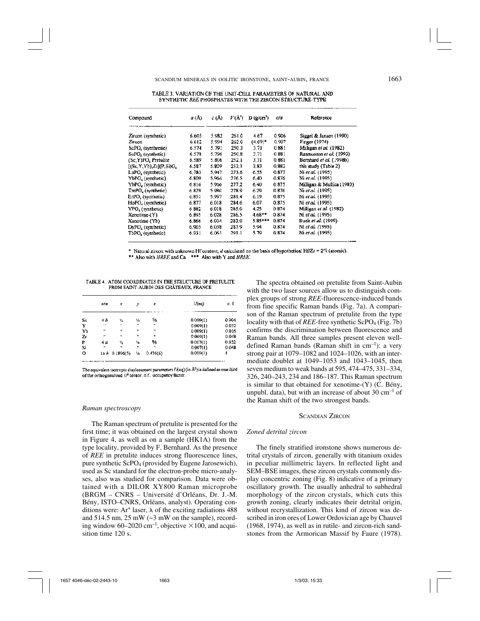| TABLE 3. VARIATION OF THE UNIT-CELL PARAMETERS OF NATURAL AND |
|---------------------------------------------------------------|
| SYNTHETIC REE PHOSPHATES WITH THE ZIRCON STRUCTURE-TYPE       |

| Compound                       | a (Å) | c(A)  | $V(\mathbf{A}^3)$ | $D$ (e/cm <sup>3</sup> ) | cia   | Reference                 |  |  |
|--------------------------------|-------|-------|-------------------|--------------------------|-------|---------------------------|--|--|
| Zircon (synthetic)             | 6.605 | 5.982 | 261.0             | 4.67                     | 0.906 | Siggel & Jansen (1990)    |  |  |
| Zircon                         | 6.612 | 5.994 | 262.0             | $(4.69)^*$               | 0.907 | Finger (1974)             |  |  |
| ScPO <sub>4</sub> (synthretic) | 6.574 | 5.791 | 250.3             | 3.71                     | 0.881 | Milligan et al. (1982)    |  |  |
| ScPO <sub>s</sub> (synthetic)  | 6.578 | 5.796 | 250.8             | 3.71                     | 0.881 | Rasmussen et al. (1993)   |  |  |
| (Sc, Y)PO, Pretulite           | 6.589 | 5.806 | 252.1             | 3.71                     | 0.881 | Bernhard et al. (1998b)   |  |  |
| $[(Sc, Y, Yb), Zc](P, S)$ O    | 6.587 | 5.809 | 252.1             | 3.83                     | 0.882 | this study (Table 2)      |  |  |
| LuPO <sub>z</sub> (synthetic)  | 6.783 | 5.947 | 273.6             | 6.55                     | 0.877 | Ni et al. (1995)          |  |  |
| YbPO <sub>s</sub> (synthetic)  | 6.809 | 5.964 | 276.5             | 6.40                     | 0.876 | Ni et al. (1995)          |  |  |
| YbPO, (synthetic)              | 6.816 | 5.966 | 277.2             | 6.40                     | 0.875 | Milligan & Mullica (1983) |  |  |
| TmPO, (synthetic)              | 6.829 | 5.980 | 278.9             | 6.29                     | 0.876 | Ni et al. (1995)          |  |  |
| ErPO, (synthetic)              | 6.851 | 5.997 | 281.4             | 6.19                     | 0.875 | Ni et al. (1995)          |  |  |
| HoPO <sub>4</sub> (synthetic)  | 6.877 | 6.018 | 284.6             | 6.07                     | 0.875 | Ni <i>et al.</i> (1995)   |  |  |
| YPO, (synthetic)               | 6882  | 6.018 | 285.0             | 4.25                     | 0.874 | Millinan et al. (1982)    |  |  |
| Xenotime-(Y)                   | 6.895 | 6028  | 286.5             | $4.68**$                 | 0.874 | Ni et al. (1995)          |  |  |
| Xenotime-(Yb)                  | 6.866 | 6.004 | 283.0             | 5.85***                  | 0.874 | Buck et al. (1999)        |  |  |
| DyPO <sub>4</sub> (synthetic)  | 6.905 | 6.038 | 287.9             | 5.94                     | 0.874 | Ni et al. (1995)          |  |  |
| TbPO <sub>4</sub> (synthetic)  | 6.931 | 6.061 | 291.1             | 5.79                     | 0.874 | Ni et al. (1995)          |  |  |

\* Natural zircon with unknown Hf content; d calculated on the basis of hypothetical Hf/Zr =  $2\%$  (atomic).

\*\* Also with HREE and Ca. \*\*\* Also with Y and HREE.

TABLE 4. ATOM COORDINATES IN THE STRUCTURE OF PRETULITE FROM SAINT-AUBIN-DES-CHÂTEAUX, FRANCE

|     | site                 | x                  | ÿ                    | z        | $U(\mathsf{eq})$ | o. E  |
|-----|----------------------|--------------------|----------------------|----------|------------------|-------|
| Sc. | 46                   | 14                 | γ.                   | 垢        | 0.009(1)         | 0.904 |
| Y   | $\ddot{\phantom{a}}$ | $\epsilon_{\rm h}$ | ĸ                    | $\omega$ | 0.009(1)         | 0.032 |
| Yb  | $\mathbf{u}$         | $\mathbf{a}$       | $\ddot{\phantom{a}}$ | м        | 0.009(1)         | 0.016 |
| Zг  | $\mathbf{a}$         | <b>Ch</b>          | u                    | $\omega$ | 0,009(1)         | 0.048 |
| P   | 4 a                  | 丛                  | ч.                   | %        | 0.007(1)         | 0.952 |
| Si  | м                    | M.                 | $\ddot{\phantom{a}}$ | ٠,       | 0.007(1)         | 0.048 |
| о   |                      | $16h$ 0.1806(5)    | 54                   | 0.436(6) | 0,009(1)         | ı     |

The equivalent isotropic displacement parameters  $U$ (eq) (in  $A<sup>2</sup>$ ) is defined as one third of the orthogonalized  $U^{\sharp}$  tensor, n.f.: occupancy factor.

#### *Raman spectroscopy*

The Raman spectrum of pretulite is presented for the first time; it was obtained on the largest crystal shown in Figure 4, as well as on a sample (HK1A) from the type locality, provided by F. Bernhard. As the presence of *REE* in pretulite induces strong fluorescence lines, pure synthetic ScPO4 (provided by Eugene Jarosewich), used as Sc standard for the electron-probe micro-analyses, also was studied for comparison. Data were obtained with a DILOR XY800 Raman microprobe (BRGM – CNRS – Université d'Orléans, Dr. J.-M. Bény, ISTO–CNRS, Orléans, analyst). Operating conditions were: Ar<sup>+</sup> laser,  $\lambda$  of the exciting radiations 488 and  $514.5$  nm,  $25 \text{ mW}$  ( $\sim$ 3 mW on the sample), recording window 60–2020 cm<sup>-1</sup>, objective  $\times$  100, and acquisition time 120 s.

The spectra obtained on pretulite from Saint-Aubin with the two laser sources allow us to distinguish complex groups of strong *REE*-fluorescence-induced bands from fine specific Raman bands (Fig. 7a). A comparison of the Raman spectrum of pretulite from the type locality with that of *REE*-free synthetic ScPO<sub>4</sub> (Fig. 7b) confirms the discrimination between fluorescence and Raman bands. All three samples present eleven welldefined Raman bands (Raman shift in  $cm^{-1}$ ): a very strong pair at 1079–1082 and 1024–1026, with an intermediate doublet at 1049–1053 and 1043–1045, then seven medium to weak bands at 595, 474–475, 331–334, 326, 240–243, 234 and 186–187. This Raman spectrum is similar to that obtained for xenotime-(Y) (C. Bény, unpubl. data), but with an increase of about  $30 \text{ cm}^{-1}$  of the Raman shift of the two strongest bands.

# SCANDIAN ZIRCON

### *Zoned detrital zircon*

The finely stratified ironstone shows numerous detrital crystals of zircon, generally with titanium oxides in peculiar millimetric layers. In reflected light and SEM–BSE images, these zircon crystals commonly display concentric zoning (Fig. 8) indicative of a primary oscillatory growth. The usually anhedral to subhedral morphology of the zircon crystals, which cuts this growth zoning, clearly indicates their detrital origin, without recrystallization. This kind of zircon was described in iron ores of Lower Ordovician age by Chauvel (1968, 1974), as well as in rutile- and zircon-rich sandstones from the Armorican Massif by Faure (1978).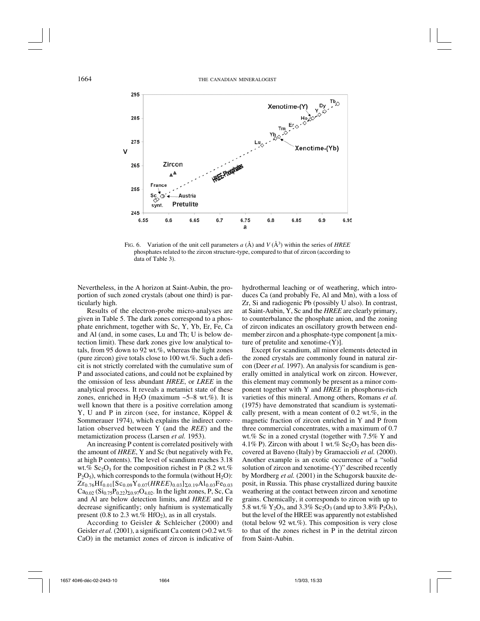

FIG. 6. Variation of the unit cell parameters  $a(\text{\AA})$  and  $V(\text{\AA}^3)$  within the series of *HREE* phosphates related to the zircon structure-type, compared to that of zircon (according to data of Table 3).

Nevertheless, in the A horizon at Saint-Aubin, the proportion of such zoned crystals (about one third) is particularly high.

Results of the electron-probe micro-analyses are given in Table 5. The dark zones correspond to a phosphate enrichment, together with Sc, Y, Yb, Er, Fe, Ca and Al (and, in some cases, Lu and Th; U is below detection limit). These dark zones give low analytical totals, from 95 down to 92 wt.%, whereas the light zones (pure zircon) give totals close to 100 wt.%. Such a deficit is not strictly correlated with the cumulative sum of P and associated cations, and could not be explained by the omission of less abundant *HREE*, or *LREE* in the analytical process. It reveals a metamict state of these zones, enriched in H<sub>2</sub>O (maximum  $\sim$ 5–8 wt.%). It is well known that there is a positive correlation among Y, U and P in zircon (see, for instance, Köppel & Sommerauer 1974), which explains the indirect correlation observed between Y (and the *REE*) and the metamictization process (Larsen *et al.* 1953).

An increasing P content is correlated positively with the amount of *HREE*, Y and Sc (but negatively with Fe, at high P contents). The level of scandium reaches 3.18 wt.%  $Sc_2O_3$  for the composition richest in P (8.2 wt.%)  $P_2O_5$ ), which corresponds to the formula (without  $H_2O$ ):  $Zr_{0.76}Hf_{0.01}[Sc_{0.09}Y_{0.07}(HREE)_{0.03}]_{\Sigma_{0.19}}Al_{0.03}Fe_{0.03}$  $Ca<sub>0.02</sub> (Si<sub>0.75</sub>P<sub>0.22</sub>)<sub>\Sigma 0.97</sub>O<sub>4.02</sub>$ . In the light zones, P, Sc, Ca and Al are below detection limits, and *HREE* and Fe decrease significantly; only hafnium is systematically present (0.8 to 2.3 wt.%  $HfO<sub>2</sub>$ ), as in all crystals.

According to Geisler & Schleicher (2000) and Geisler *et al.* (2001), a significant Ca content (>0.2 wt.%) CaO) in the metamict zones of zircon is indicative of hydrothermal leaching or of weathering, which introduces Ca (and probably Fe, Al and Mn), with a loss of Zr, Si and radiogenic Pb (possibly U also). In contrast, at Saint-Aubin, Y, Sc and the *HREE* are clearly primary, to counterbalance the phosphate anion, and the zoning of zircon indicates an oscillatory growth between endmember zircon and a phosphate-type component [a mixture of pretulite and xenotime-(Y)].

Except for scandium, all minor elements detected in the zoned crystals are commonly found in natural zircon (Deer *et al.* 1997). An analysis for scandium is generally omitted in analytical work on zircon. However, this element may commonly be present as a minor component together with Y and *HREE* in phosphorus-rich varieties of this mineral. Among others, Romans *et al.* (1975) have demonstrated that scandium is systematically present, with a mean content of 0.2 wt.%, in the magnetic fraction of zircon enriched in Y and P from three commercial concentrates, with a maximum of 0.7 wt.% Sc in a zoned crystal (together with 7.5% Y and 4.1% P). Zircon with about 1 wt.%  $Sc<sub>2</sub>O<sub>3</sub>$  has been discovered at Baveno (Italy) by Gramaccioli *et al.* (2000). Another example is an exotic occurrence of a "solid solution of zircon and xenotime-(Y)" described recently by Mordberg *et al.* (2001) in the Schugorsk bauxite deposit, in Russia. This phase crystallized during bauxite weathering at the contact between zircon and xenotime grains. Chemically, it corresponds to zircon with up to 5.8 wt.%  $Y_2O_3$ , and 3.3%  $Sc_2O_3$  (and up to 3.8%  $P_2O_5$ ), but the level of the HREE was apparently not established (total below 92 wt.%). This composition is very close to that of the zones richest in P in the detrital zircon from Saint-Aubin.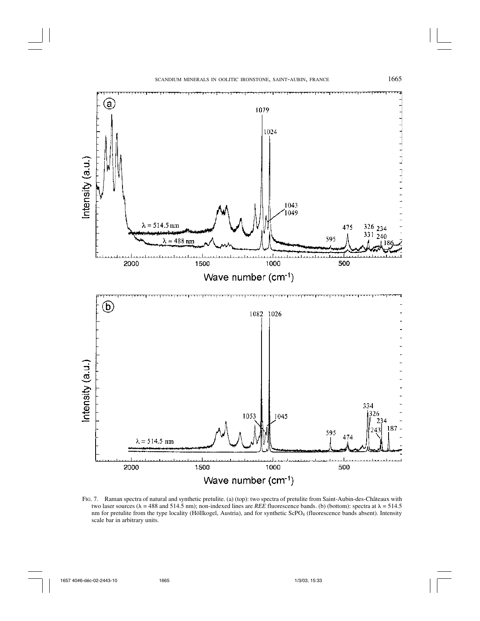

FIG. 7. Raman spectra of natural and synthetic pretulite. (a) (top): two spectra of pretulite from Saint-Aubin-des-Châteaux with two laser sources ( $\lambda = 488$  and 514.5 nm); non-indexed lines are *REE* fluorescence bands. (b) (bottom): spectra at  $\lambda = 514.5$ nm for pretulite from the type locality (Höllkogel, Austria), and for synthetic ScPO4 (fluorescence bands absent). Intensity scale bar in arbitrary units.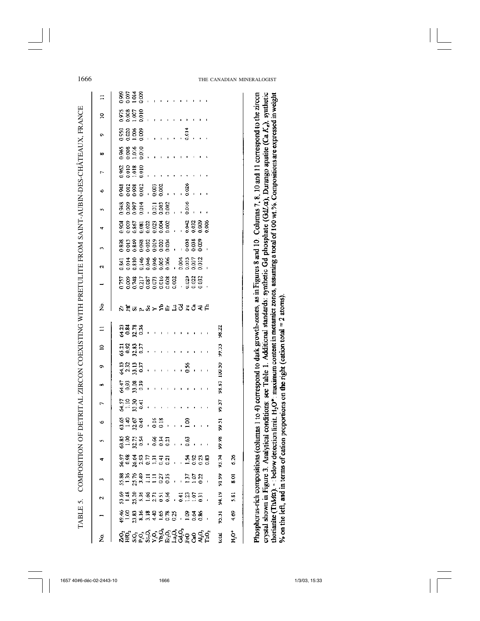COMPOSITION OF DETRITAL ZIRCON COEXISTING WITH PRETULITE FROM SAINT-AUBIN-DES-CHÂTEAUX, FRANCE TABLE 5. COMPOSITION OF DETRITAL ZIRCON COEXISTING WITH PRETULITE FROM SAINT-AUBIN-DES-CHÂTEAUX, FRANCE TABLE 5.

| $\equiv$       | $\frac{88533}{2222}$                                                                                                                                                                                                           |
|----------------|--------------------------------------------------------------------------------------------------------------------------------------------------------------------------------------------------------------------------------|
| $\mathbf{R}$   | 55<br>58650<br>586160                                                                                                                                                                                                          |
| ô              |                                                                                                                                                                                                                                |
| œ              |                                                                                                                                                                                                                                |
| ŀ.             | $38.50$ $35.5$ $35.50$ $35.50$ $35.50$ $35.50$ $35.50$ $35.50$ $35.50$ $35.50$ $35.50$ $35.50$ $35.50$ $35.50$ $35.50$ $35.50$ $35.50$ $35.50$ $35.50$ $35.50$ $35.50$ $35.50$ $35.50$ $35.50$ $35.50$ $35.50$ $35.50$ $35.50$ |
| ó              | 82882 88<br>00000 88<br>00000 000 000 000 000                                                                                                                                                                                  |
| Ŵ,             | $\frac{38857}{200000}$ $\frac{1}{20000}$ $\frac{2000}{20000}$                                                                                                                                                                  |
| 4              |                                                                                                                                                                                                                                |
| m              |                                                                                                                                                                                                                                |
| $\overline{c}$ |                                                                                                                                                                                                                                |
|                |                                                                                                                                                                                                                                |
| ż              | BF515151444445                                                                                                                                                                                                                 |
| $\equiv$       | ពុត្តខ្លួ<br>៥០៧០<br>98.Z2                                                                                                                                                                                                     |
| $\tilde{=}$    | ភ្នាំនាក់<br>ភ្នំពីឆ្នាំ ស្រុក ស្រុក ស្រុក ស្រុក ស្រុក ស្រុក ស្រុក ស្រុក ស្រុក ស្រុក ស្រុក ស្រុក ស្រុក ស្រុក ស្រុក ស្រុក ស<br>99.33                                                                                            |
| Ō.             | 100.50<br>ក្នុងក្នុង<br>ថ្មីសិក្ខិត ៖ ៖ ៖ ៖ ខេត្ត ៖ ៖ ៖                                                                                                                                                                        |
| œ              | 98.87<br>ହ୍ରିଞ୍ଜ<br>ଟୁବିଲୁବି । । । । । । । । । ।                                                                                                                                                                               |
| $\overline{ }$ | 도요요 <del>.</del><br>동고요요 - - - - - - - - - - - - -<br>937                                                                                                                                                                      |
| ø              | 99.51                                                                                                                                                                                                                          |
| y.             | ន្តុខ្លះ និងមាន<br>និងដឹង ខ្លួន ខេ<br>8<br>ድ                                                                                                                                                                                   |
|                | 93.74<br>6.26<br>68366553. A888.<br>Šešško-se                                                                                                                                                                                  |
|                | 91.99<br>888885588<br>19885588 1998<br>$\frac{8}{3}$                                                                                                                                                                           |
| N              | 94.19<br>83883558 7855<br>83883558 7855<br>5.81                                                                                                                                                                                |
|                | 4.69<br>e<br>1989<br>1989 - 1989 - 1989 - 1989 -<br>5.31                                                                                                                                                                       |
| ź              | ៜឨ៶៓ៜ៓៰៓៹៝៰៓៹៝៹៓ៜ<br>ៜឨៜ៓៹៓៹៝៹៓៹៝៹៝៹៓៓៓៓ៜៜ៹៎៓៓<br>H,O‡<br>iotal                                                                                                                                                                |

crystal shown in Figure 3. Analytical conditions: see Table 1. Additional standards: synthetic Gd phosphate (GdJa), Durango apatite (Ca Ka), synthetic Phosphorus-rich compositions (columns 1 to 4) correspond to dark growth-zones, as in Figures 8 and 10. Columns 7, 8, 10 and 11 correspond to the zircon thorianite (ThMa). -: below detection limit. H<sub>2</sub>O\*: maximum content in metamict zones, assuming a total of 100 wt.%. Compositions are expressed in weight % on the left, and in terms of cation proportions on the right (cation total = 2 atoms).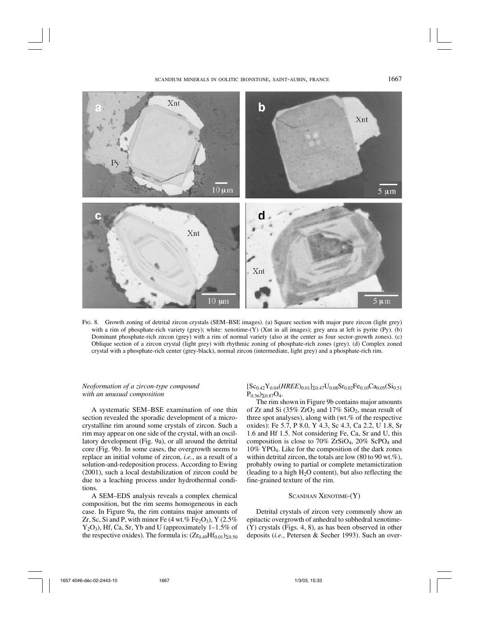

FIG. 8. Growth zoning of detrital zircon crystals (SEM–BSE images). (a) Square section with major pure zircon (light grey) with a rim of phosphate-rich variety (grey); white: xenotime-(Y) (Xnt in all images); grey area at left is pyrite (Py). (b) Dominant phosphate-rich zircon (grey) with a rim of normal variety (also at the center as four sector-growth zones). (c) Oblique section of a zircon crystal (light grey) with rhythmic zoning of phosphate-rich zones (grey). (d) Complex zoned crystal with a phosphate-rich center (grey-black), normal zircon (intermediate, light grey) and a phosphate-rich rim.

# *Neoformation of a zircon-type compound with an unusual composition*

A systematic SEM–BSE examination of one thin section revealed the sporadic development of a microcrystalline rim around some crystals of zircon. Such a rim may appear on one side of the crystal, with an oscillatory development (Fig. 9a), or all around the detrital core (Fig. 9b). In some cases, the overgrowth seems to replace an initial volume of zircon, *i.e.*, as a result of a solution-and-redeposition process. According to Ewing (2001), such a local destabilization of zircon could be due to a leaching process under hydrothermal conditions.

A SEM–EDS analysis reveals a complex chemical composition, but the rim seems homogeneous in each case. In Figure 9a, the rim contains major amounts of Zr, Sc, Si and P, with minor Fe  $(4 \text{ wt. } \% \text{ Fe}_2\text{O}_3)$ , Y  $(2.5\%$  $Y_2O_3$ ), Hf, Ca, Sr, Yb and U (approximately 1–1.5% of the respective oxides). The formula is:  $(Zr_{0.49}Hf_{0.01})_{\Sigma 0.50}$ 

 $[Sc_{0.42}Y_{0.04}(HREE)_{0.01}]_{\Sigma 0.47}U_{0.08}Sr_{0.02}Fe_{0.10}Ca_{0.05}(Si_{0.51})$  $P_{0.36}$ ) $\Sigma_{0.87}O_4$ .

The rim shown in Figure 9b contains major amounts of Zr and Si  $(35\% \text{ ZrO}_2 \text{ and } 17\% \text{ SiO}_2 \text{),}$  mean result of three spot analyses), along with (wt.% of the respective oxides): Fe 5.7, P 8.0, Y 4.3, Sc 4.3, Ca 2.2, U 1.8, Sr 1.6 and Hf 1.5. Not considering Fe, Ca, Sr and U, this composition is close to 70%  $ZrSiO<sub>4</sub>$ , 20%  $ScPO<sub>4</sub>$  and 10% YPO4. Like for the composition of the dark zones within detrital zircon, the totals are low  $(80 \text{ to } 90 \text{ wt.} \%)$ , probably owing to partial or complete metamictization (leading to a high  $H_2O$  content), but also reflecting the fine-grained texture of the rim.

# SCANDIAN XENOTIME-(Y)

Detrital crystals of zircon very commonly show an epitactic overgrowth of anhedral to subhedral xenotime-  $(Y)$  crystals (Figs. 4, 8), as has been observed in other deposits (*i.e.*, Petersen & Secher 1993). Such an over-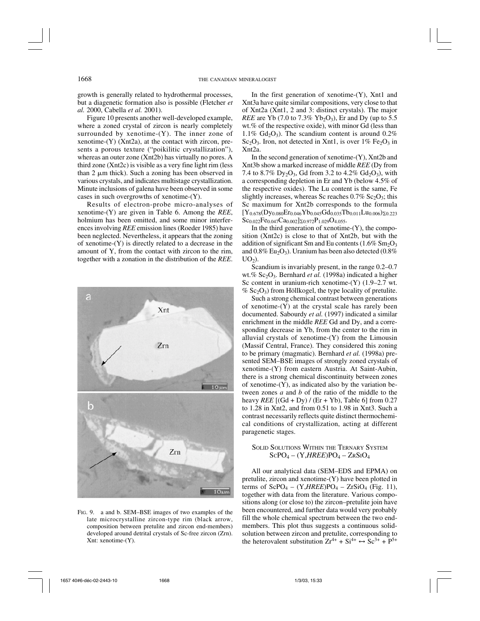growth is generally related to hydrothermal processes, but a diagenetic formation also is possible (Fletcher *et al.* 2000, Cabella *et al.* 2001).

Figure 10 presents another well-developed example, where a zoned crystal of zircon is nearly completely surrounded by xenotime- $(Y)$ . The inner zone of xenotime-(Y) (Xnt2a), at the contact with zircon, presents a porous texture ("poikilitic crystallization"), whereas an outer zone (Xnt2b) has virtually no pores. A third zone (Xnt2c) is visible as a very fine light rim (less than  $2 \mu m$  thick). Such a zoning has been observed in various crystals, and indicates multistage crystallization. Minute inclusions of galena have been observed in some cases in such overgrowths of xenotime-(Y).

Results of electron-probe micro-analyses of xenotime-(Y) are given in Table 6. Among the *REE*, holmium has been omitted, and some minor interferences involving *REE* emission lines (Roeder 1985) have been neglected. Nevertheless, it appears that the zoning of xenotime-(Y) is directly related to a decrease in the amount of Y, from the contact with zircon to the rim, together with a zonation in the distribution of the *REE*.



FIG. 9. a and b. SEM–BSE images of two examples of the late microcrystalline zircon-type rim (black arrow, composition between pretulite and zircon end-members) developed around detrital crystals of Sc-free zircon (Zrn). Xnt: xenotime-(Y).

In the first generation of xenotime- $(Y)$ , Xnt1 and Xnt3a have quite similar compositions, very close to that of Xnt2a (Xnt1, 2 and 3: distinct crystals). The major *REE* are Yb (7.0 to 7.3% Yb<sub>2</sub>O<sub>3</sub>), Er and Dy (up to 5.5) wt.% of the respective oxide), with minor Gd (less than 1.1%  $Gd_2O_3$ ). The scandium content is around 0.2%  $Sc_2O_3$ . Iron, not detected in Xnt1, is over  $1\%$  Fe<sub>2</sub>O<sub>3</sub> in Xnt2a.

In the second generation of xenotime-(Y), Xnt2b and Xnt3b show a marked increase of middle *REE* (Dy from 7.4 to 8.7% Dy<sub>2</sub>O<sub>3</sub>, Gd from 3.2 to 4.2% Gd<sub>2</sub>O<sub>3</sub>), with a corresponding depletion in Er and Yb (below 4.5% of the respective oxides). The Lu content is the same, Fe slightly increases, whereas Sc reaches  $0.7\%$  Sc<sub>2</sub>O<sub>3</sub>; this Sc maximum for Xnt2b corresponds to the formula  $[Y_{0.678}(Dy_{0.080}Er_{0.046}Yb_{0.045}Gd_{0.035}Tb_{0.011}Lu_{0.006})\Sigma_{0.223}$  $Sc_{0.022}Fe_{0.047}Ca_{0.002}$ [20.972 $P_{1.029}O_{4.055}$ .

In the third generation of xenotime- $(Y)$ , the composition (Xnt2c) is close to that of Xnt2b, but with the addition of significant Sm and Eu contents  $(1.6\%$  Sm<sub>2</sub>O<sub>3</sub> and  $0.8\%$  Eu<sub>2</sub>O<sub>3</sub>). Uranium has been also detected (0.8%)  $UO<sub>2</sub>$ ).

Scandium is invariably present, in the range 0.2–0.7 wt.% Sc<sub>2</sub>O<sub>3</sub>. Bernhard *et al.* (1998a) indicated a higher Sc content in uranium-rich xenotime-(Y) (1.9–2.7 wt.  $% Sc<sub>2</sub>O<sub>3</sub>$  from Höllkogel, the type locality of pretulite.

Such a strong chemical contrast between generations of xenotime-(Y) at the crystal scale has rarely been documented. Sabourdy *et al.* (1997) indicated a similar enrichment in the middle *REE* Gd and Dy, and a corresponding decrease in Yb, from the center to the rim in alluvial crystals of xenotime-(Y) from the Limousin (Massif Central, France). They considered this zoning to be primary (magmatic). Bernhard *et al.* (1998a) presented SEM–BSE images of strongly zoned crystals of xenotime-(Y) from eastern Austria. At Saint-Aubin, there is a strong chemical discontinuity between zones of xenotime- $(Y)$ , as indicated also by the variation between zones *a* and *b* of the ratio of the middle to the heavy *REE*  $[(Gd + Dy) / (Er + Yb)$ , Table 6] from 0.27 to 1.28 in Xnt2, and from 0.51 to 1.98 in Xnt3. Such a contrast necessarily reflects quite distinct thermochemical conditions of crystallization, acting at different paragenetic stages.

# SOLID SOLUTIONS WITHIN THE TERNARY SYSTEM  $SCPO<sub>4</sub> - (Y, HREE)PO<sub>4</sub> - ZRSIO<sub>4</sub>$

All our analytical data (SEM–EDS and EPMA) on pretulite, zircon and xenotime-(Y) have been plotted in terms of  $\text{ScPO}_4 - (\text{Y}, \text{HREE})\text{PO}_4 - \text{ZrSiO}_4$  (Fig. 11), together with data from the literature. Various compositions along (or close to) the zircon–pretulite join have been encountered, and further data would very probably fill the whole chemical spectrum between the two endmembers. This plot thus suggests a continuous solidsolution between zircon and pretulite, corresponding to the heterovalent substitution  $Zr^{4+} + Si^{4+} \leftrightarrow Sc^{3+} + P^{5+}$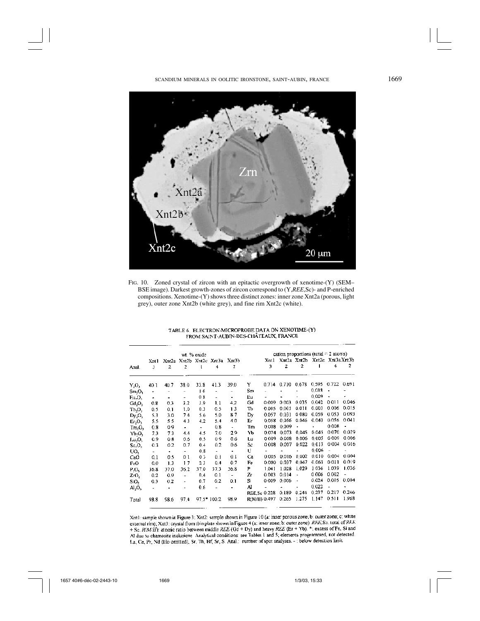

FIG. 10. Zoned crystal of zircon with an epitactic overgrowth of xenotime-(Y) (SEM– BSE image). Darkest growth-zones of zircon correspond to (Y,*REE*,Sc)- and P-enriched compositions. Xenotime-(Y) shows three distinct zones: inner zone Xnt2a (porous, light grey), outer zone Xnt2b (white grey), and fine rim Xnt2c (white).

| wt. % oxide                          |        |                |      |             |      |                         |              | cation proportions (total $= 2$ atoms) |       |                          |                              |                |       |  |
|--------------------------------------|--------|----------------|------|-------------|------|-------------------------|--------------|----------------------------------------|-------|--------------------------|------------------------------|----------------|-------|--|
|                                      | Xntl   | Xnr2a          |      |             |      | Xnt2b Xnt2c Xnt3a Xnt3b |              | Xntl                                   |       |                          | Xnt2a Xnt2b Xnt2c Xnt3aXnt3b |                |       |  |
| Anal.                                | 3      | 2              | 2    |             | 4    | 2                       |              | 3                                      | 2     | 2                        |                              | 4              | 2     |  |
|                                      |        |                |      |             |      |                         |              |                                        |       |                          |                              |                |       |  |
| $Y_2O_3$                             | 40.1   | 40.7           | 38.0 | 33.8        | 41.3 | 39.0                    | Y            | 0.714                                  | 0.710 | 0.678                    | 0.595                        | 0.722          | 0.691 |  |
| Sm,O,                                | ٠      | $\overline{a}$ |      | 16          |      |                         | Sm           |                                        |       |                          | 0.018                        | $\blacksquare$ |       |  |
| Eu <sub>2</sub> O <sub>3</sub>       | ٠      | ۰              | ۰    | 08          | L.   |                         | Еu           |                                        |       |                          | 0.009                        |                |       |  |
| $Gd_2O_3$                            | 0.8    | 0.3            | 3.2  | 3.9         | 1.1  | 4.2                     | Gd           | 0.009                                  | 0.003 | 0.035                    | 0.042                        | 0.011          | 0.046 |  |
| ть,о,                                | 0.5    | 0.1            | 1.0  | 0.3         | 0.5  | 13                      | ΤЪ           | 0.005                                  | 0.001 | 0.011                    | 0.003                        | 0.006          | 0.015 |  |
| Dy,O,                                | 5.3    | 3.0            | 74   | 5.6         | 5.0  | 87                      | Dy           | 0.057                                  | 0.031 | 0080                     | 0.059                        | 0.053          | 0.093 |  |
| Er <sub>2</sub> O <sub>3</sub>       | 5.5    | 55             | 43   | 4.2         | 5.4  | 4.0                     | Eг           | 0.058                                  | 0056  | 0.046                    | 0.043                        | 0.056          | 0.041 |  |
| Im, O <sub>1</sub>                   | 0.8    | 09             | ٠    | ÷           | 0.8  | ÷.                      | Тm           | 0.008                                  | 0.009 |                          |                              | 0.008          |       |  |
| Yb-O <sub>3</sub>                    | 73     | 73             | 4.4  | 4.5         | 7.0  | 2.9                     | ΥЪ           | 0.074                                  | 0.073 | 0.045                    | 0.045                        | 0.070          | 0,029 |  |
| $\mathbf{L}\mathbf{u}_2\mathbf{O}_3$ | 0.9    | 0.8            | 0.6  | 0.5         | 09   | 0.6                     | Lυ           | 0.009                                  | 0.008 | 0.006                    | 0.005                        | 0.009          | 0.006 |  |
| $Sc_2O_3$                            | 0.3    | 0.2            | 0.7  | 0.4         | 0.2  | 0.6                     | Sc           | 0.008                                  | 0.007 | 0.022                    | 0.013                        | 0004           | 0.016 |  |
| UO,                                  | $\sim$ | ٠              | ٠    | 0.8         | ä,   | ٠                       | U            |                                        |       |                          | 0.006                        |                | ٠     |  |
| CaO                                  | 0.1    | 0.5            | 01   | 03          | 0.1  | 0.1                     | Cа           | 0.005                                  | 0.016 | 0.002                    | 0.010                        | 0.004          | 0.004 |  |
| FeO                                  | 0.0    | 1.3            | 17   | 23          | 0.4  | 0.7                     | Fe           | 0.000                                  | 0.037 | 0.047                    | 0.063                        | 0.011          | 0.019 |  |
| P.O.                                 | 36.8   | 37.0           | 36.2 | 37,0        | 37.3 | 36.8                    | P            | 1.041                                  | 1.028 | 1.029                    | 1036                         | 1.039          | 1.036 |  |
| ZrO <sub>2</sub>                     | 0.2    | 0.9            | ٠    | 0,4         | 0.1  | ÷,                      | Zг           | 0003                                   | 0.014 | $\overline{a}$           | 0.006                        | 0.002          |       |  |
| SiO <sub>2</sub>                     | 0.3    | 0.2            |      | 0.7         | 0.2  | 0.1                     | Si           | 0.009                                  | 0.006 | $\overline{\phantom{a}}$ | 0.024                        | 0.005          | 0.004 |  |
| Al <sub>2</sub> O <sub>3</sub>       | ÷,     | ٠              | ٠    | 0.6         |      | ٠                       | Al           |                                        |       | $\blacksquare$           | 0.022                        |                |       |  |
|                                      |        |                |      |             |      |                         | REE.Sc 0 228 |                                        | 0.189 | 0.244                    | 0.237                        | 0.217          | 0.246 |  |
| Total                                | 98.8   | 98.6           | 97.4 | 97.5* 100.2 |      | 98.9                    | R(M/H) 0.497 |                                        | 0.265 | 1.275                    | 1.147                        | 0.511          | 1.968 |  |

# TABLE 6. ELECTRON-MICROPROBE DATA ON XENOTIME-(Y) FROM SAINT-AUBIN-DES-CHÂTEAUX, FRANCE

Xnt1: sample shown in Figure 3; Xnt2: sample shown in Figure 10 (a: inner porous zone; b: outer zone; c: white external rim); Xnt3: crystal from thin plate shown in Figure 4 (a: inner zone; b: outer zone) REE, Sc. total of REE + Sc. R(M/H); atomic ratio between middle REE (Gd + Dy) and heavy REE (Er + Yb). \*: excess of Fe, Si and Al due to chamosite inclusions Analytical conditions: see Tables 1 and 5; elements programmed, not detected. La, Ce, Pr, Nd (Ho omitted), Sr, Th, Hf, Sr, S. Anal.: number of spot analyses. -: below detection limit.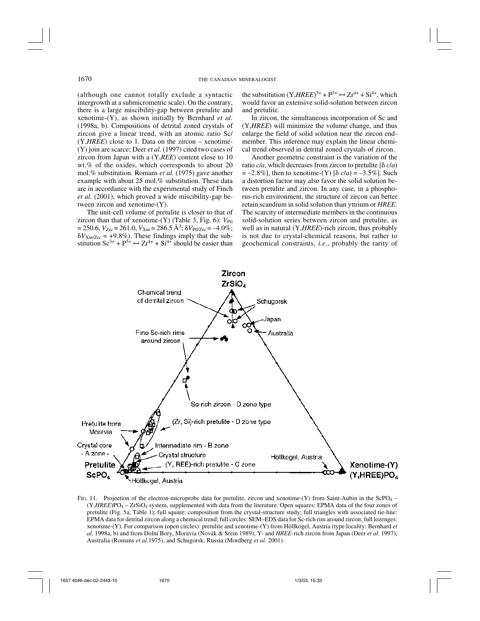(although one cannot totally exclude a syntactic intergrowth at a submicrometric scale). On the contrary, there is a large miscibility-gap between pretulite and xenotime-(Y), as shown initially by Bernhard *et al.* (1998a, b). Compositions of detrital zoned crystals of zircon give a linear trend, with an atomic ratio Sc/ (Y,*HREE*) close to 1. Data on the zircon – xenotime- (Y) join are scarce; Deer *et al.* (1997) cited two cases of zircon from Japan with a (Y,*REE*) content close to 10 wt.% of the oxides, which corresponds to about 20 mol.% substitution. Romans *et al.* (1975) gave another example with about 25 mol.% substitution. These data are in accordance with the experimental study of Finch *et al.* (2001), which proved a wide miscibility-gap between zircon and xenotime-(Y).

The unit-cell volume of pretulite is closer to that of zircon than that of xenotime- $(Y)$  (Table 3, Fig. 6):  $V_{\text{Pf1}}$  $= 250.6, V_{Zrc} = 261.0, V_{Xnt} = 286.5 \text{ Å}^3$ ;  $\delta V_{\text{Pl}/Zrc} = -4.0\%$ ;  $\delta V_{\text{Xnt/Zrc}} = +9.8\%$ ). These findings imply that the substitution  $\text{Sc}^{3+} + \text{P}^{5+} \leftrightarrow \text{Zr}^{4+} + \text{Si}^{4+}$  should be easier than

the substitution  $(Y, HREE)^{3+} + P^{5+} \leftrightarrow Zr^{4+} + Si^{4+}$ , which would favor an extensive solid-solution between zircon and pretulite.

In zircon, the simultaneous incorporation of Sc and (Y,*HREE*) will minimize the volume change, and thus enlarge the field of solid solution near the zircon endmember. This inference may explain the linear chemical trend observed in detrital zoned crystals of zircon.

Another geometric constraint is the variation of the ratio  $c/a$ , which decreases from zircon to pretulite  $\delta c/a$  $= -2.8\%$ , then to xenotime-(Y)  $\lceil \delta c/a \rceil = -3.5\%$ . Such a distortion factor may also favor the solid solution between pretulite and zircon. In any case, in a phosphorus-rich environment, the structure of zircon can better retain scandium in solid solution than yttrium or *HREE*. The scarcity of intermediate members in the continuous solid-solution series between zircon and pretulite, as well as in natural (Y,*HREE*)-rich zircon, thus probably is not due to crystal-chemical reasons, but rather to geochemical constraints, *i.e.*, probably the rarity of



FIG. 11. Projection of the electron-microprobe data for pretulite, zircon and xenotime- $(Y)$  from Saint-Aubin in the ScPO<sub>4</sub> – (Y,*HREE*)PO4 – ZrSiO4 system, supplemented with data from the literature. Open squares: EPMA data of the four zones of pretulite (Fig. 5a, Table 1); full square: composition from the crystal-structure study; full triangles with associated tie-line: EPMA data for detrital zircon along a chemical trend; full circles: SEM–EDS data for Sc-rich rim around zircon; full lozenges: xenotime-(Y). For comparison (open circles): pretulite and xenotime-(Y) from Höllkogel, Austria (type locality: Bernhard *et al.* 1998a, b) and from Dolní Bory, Moravia (Novák & Srein 1989); Y- and *HREE*-rich zircon from Japan (Deer *et al.* 1997), Australia (Romans *et al.*1975), and Schugorsk, Russia (Mordberg *et al.* 2001).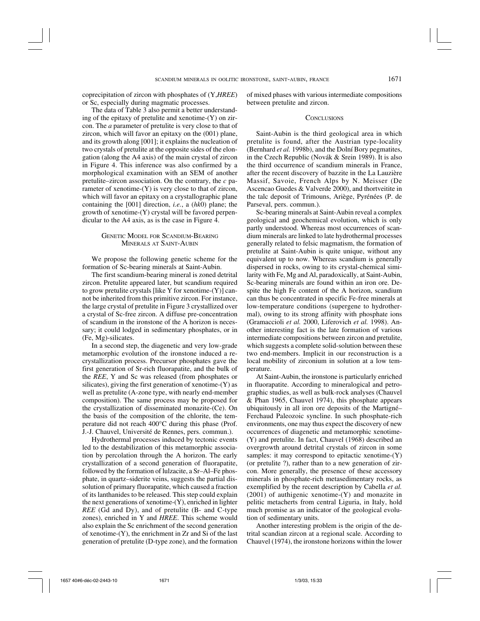coprecipitation of zircon with phosphates of (Y,*HREE*) or Sc, especially during magmatic processes.

The data of Table 3 also permit a better understanding of the epitaxy of pretulite and xenotime- $(Y)$  on zircon. The *a* parameter of pretulite is very close to that of zircon, which will favor an epitaxy on the (001) plane, and its growth along [001]; it explains the nucleation of two crystals of pretulite at the opposite sides of the elongation (along the A4 axis) of the main crystal of zircon in Figure 4. This inference was also confirmed by a morphological examination with an SEM of another pretulite–zircon association. On the contrary, the *c* parameter of xenotime-(Y) is very close to that of zircon, which will favor an epitaxy on a crystallographic plane containing the [001] direction, *i.e.*, a (*hk*0) plane; the growth of xenotime-(Y) crystal will be favored perpendicular to the A4 axis, as is the case in Figure 4.

# GENETIC MODEL FOR SCANDIUM-BEARING MINERALS AT SAINT-AUBIN

We propose the following genetic scheme for the formation of Sc-bearing minerals at Saint-Aubin.

The first scandium-bearing mineral is zoned detrital zircon. Pretulite appeared later, but scandium required to grow pretulite crystals [like Y for xenotime-(Y)] cannot be inherited from this primitive zircon. For instance, the large crystal of pretulite in Figure 3 crystallized over a crystal of Sc-free zircon. A diffuse pre-concentration of scandium in the ironstone of the A horizon is necessary; it could lodged in sedimentary phosphates, or in (Fe, Mg)-silicates.

In a second step, the diagenetic and very low-grade metamorphic evolution of the ironstone induced a recrystallization process. Precursor phosphates gave the first generation of Sr-rich fluorapatite, and the bulk of the *REE*, Y and Sc was released (from phosphates or silicates), giving the first generation of xenotime-(Y) as well as pretulite (A-zone type, with nearly end-member composition). The same process may be proposed for the crystallization of disseminated monazite-(Ce). On the basis of the composition of the chlorite, the temperature did not reach 400°C during this phase (Prof. J.-J. Chauvel, Université de Rennes, pers. commun.).

Hydrothermal processes induced by tectonic events led to the destabilization of this metamorphic association by percolation through the A horizon. The early crystallization of a second generation of fluorapatite, followed by the formation of lulzacite, a Sr–Al–Fe phosphate, in quartz–siderite veins, suggests the partial dissolution of primary fluorapatite, which caused a fraction of its lanthanides to be released. This step could explain the next generations of xenotime-(Y), enriched in lighter *REE* (Gd and Dy), and of pretulite (B- and C-type zones), enriched in Y and *HREE*. This scheme would also explain the Sc enrichment of the second generation of xenotime-(Y), the enrichment in Zr and Si of the last generation of pretulite (D-type zone), and the formation

of mixed phases with various intermediate compositions between pretulite and zircon.

### **CONCLUSIONS**

Saint-Aubin is the third geological area in which pretulite is found, after the Austrian type-locality (Bernhard *et al.* 1998b), and the Dolní Bory pegmatites, in the Czech Republic (Novák & Srein 1989). It is also the third occurrence of scandium minerals in France, after the recent discovery of bazzite in the La Lauzière Massif, Savoie, French Alps by N. Meisser (De Ascencao Guedes & Valverde 2000), and thortveitite in the talc deposit of Trimouns, Ariège, Pyrénées (P. de Parseval, pers. commun.).

Sc-bearing minerals at Saint-Aubin reveal a complex geological and geochemical evolution, which is only partly understood. Whereas most occurrences of scandium minerals are linked to late hydrothermal processes generally related to felsic magmatism, the formation of pretulite at Saint-Aubin is quite unique, without any equivalent up to now. Whereas scandium is generally dispersed in rocks, owing to its crystal-chemical similarity with Fe, Mg and Al, paradoxically, at Saint-Aubin, Sc-bearing minerals are found within an iron ore. Despite the high Fe content of the A horizon, scandium can thus be concentrated in specific Fe-free minerals at low-temperature conditions (supergene to hydrothermal), owing to its strong affinity with phosphate ions (Gramaccioli *et al.* 2000, Liferovich *et al.* 1998). Another interesting fact is the late formation of various intermediate compositions between zircon and pretulite, which suggests a complete solid-solution between these two end-members. Implicit in our reconstruction is a local mobility of zirconium in solution at a low temperature.

At Saint-Aubin, the ironstone is particularly enriched in fluorapatite. According to mineralogical and petrographic studies, as well as bulk-rock analyses (Chauvel & Phan 1965, Chauvel 1974), this phosphate appears ubiquitously in all iron ore deposits of the Martigné– Ferchaud Paleozoic syncline. In such phosphate-rich environments, one may thus expect the discovery of new occurrences of diagenetic and metamorphic xenotime- (Y) and pretulite. In fact, Chauvel (1968) described an overgrowth around detrital crystals of zircon in some samples: it may correspond to epitactic xenotime- $(Y)$ (or pretulite ?), rather than to a new generation of zircon. More generally, the presence of these accessory minerals in phosphate-rich metasedimentary rocks, as exemplified by the recent description by Cabella *et al.* (2001) of authigenic xenotime-(Y) and monazite in pelitic metacherts from central Liguria, in Italy, hold much promise as an indicator of the geological evolution of sedimentary units.

Another interesting problem is the origin of the detrital scandian zircon at a regional scale. According to Chauvel (1974), the ironstone horizons within the lower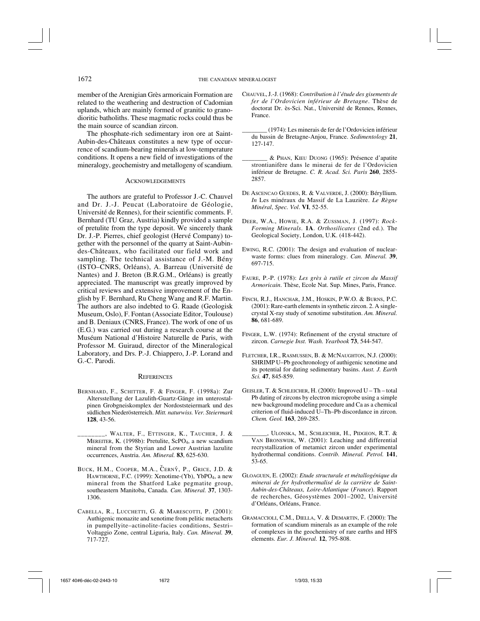member of the Arenigian Grès armoricain Formation are related to the weathering and destruction of Cadomian uplands, which are mainly formed of granitic to granodioritic batholiths. These magmatic rocks could thus be the main source of scandian zircon.

The phosphate-rich sedimentary iron ore at Saint-Aubin-des-Châteaux constitutes a new type of occurrence of scandium-bearing minerals at low-temperature conditions. It opens a new field of investigations of the mineralogy, geochemistry and metallogeny of scandium.

### **ACKNOWLEDGEMENTS**

The authors are grateful to Professor J.-C. Chauvel and Dr. J.-J. Peucat (Laboratoire de Géologie, Université de Rennes), for their scientific comments. F. Bernhard (TU Graz, Austria) kindly provided a sample of pretulite from the type deposit. We sincerely thank Dr. J.-P. Pierres, chief geologist (Hervé Company) together with the personnel of the quarry at Saint-Aubindes-Châteaux, who facilitated our field work and sampling. The technical assistance of J.-M. Bény (ISTO–CNRS, Orléans), A. Barreau (Université de Nantes) and J. Breton (B.R.G.M., Orléans) is greatly appreciated. The manuscript was greatly improved by critical reviews and extensive improvement of the English by F. Bernhard, Ru Cheng Wang and R.F. Martin. The authors are also indebted to G. Raade (Geologisk Museum, Oslo), F. Fontan (Associate Editor, Toulouse) and B. Deniaux (CNRS, France). The work of one of us (E.G.) was carried out during a research course at the Muséum National d'Histoire Naturelle de Paris, with Professor M. Guiraud, director of the Mineralogical Laboratory, and Drs. P.-J. Chiappero, J.-P. Lorand and G.-C. Parodi.

### **REFERENCES**

- BERNHARD, F., SCHITTER, F. & FINGER, F. (1998a): Zur Altersstellung der Lazulith-Guartz-Gänge im unterostalpinen Grobgneiskomplex der Nordoststeiermark und des südlichen Niederösterreich. *Mitt. naturwiss. Ver. Steiermark* **128**, 43-56.
- \_\_\_\_\_\_\_\_, WALTER, F., ETTINGER, K., TAUCHER, J. & MEREITER, K. (1998b): Pretulite, ScPO<sub>4</sub>, a new scandium mineral from the Styrian and Lower Austrian lazulite occurrences, Austria. *Am. Mineral.* **83**, 625-630.
- BUCK, H.M., COOPER, M.A., CERNÝ, P., GRICE, J.D. & HAWTHORNE, F.C. (1999): Xenotime-(Yb), YbPO<sub>4</sub>, a new mineral from the Shatford Lake pegmatite group, southeastern Manitoba, Canada. *Can. Mineral.* **37**, 1303- 1306.
- CABELLA, R., LUCCHETTI, G. & MARESCOTTI, P. (2001): Authigenic monazite and xenotime from pelitic metacherts in pumpellyite–actinolite-facies conditions, Sestri– Voltaggio Zone, central Liguria, Italy. *Can. Mineral.* **39**, 717-727.
- CHAUVEL, J.-J. (1968): *Contribution à l'étude des gisements de fer de l'Ordovicien inférieur de Bretagne*. Thèse de doctorat Dr. ès-Sci. Nat., Université de Rennes, Rennes, France.
	- \_\_\_\_\_\_\_\_ (1974): Les minerais de fer de l'Ordovicien inférieur du bassin de Bretagne-Anjou, France. *Sedimentology* **21**, 127-147.
- \_\_\_\_\_\_\_\_ & PHAN, KIEU DUONG (1965): Présence d'apatite strontianifère dans le minerai de fer de l'Ordovicien inférieur de Bretagne. *C. R. Acad. Sci. Paris* **260**, 2855- 2857.
- DE ASCENCAO GUEDES, R. & VALVERDE, J. (2000): Béryllium. *In* Les minéraux du Massif de La Lauzière. *Le Règne Minéral*, *Spec. Vol*. **VI**, 52-55.
- DEER, W.A., HOWIE, R.A. & ZUSSMAN, J. (1997): *Rock-Forming Minerals*. **1A**. *Orthosilicates* (2nd ed.). The Geological Society, London, U.K. (418-442).
- EWING, R.C. (2001): The design and evaluation of nuclearwaste forms: clues from mineralogy. *Can. Mineral.* **39**, 697-715.
- FAURE, P.-P. (1978): *Les grès à rutile et zircon du Massif Armoricain*. Thèse, Ecole Nat. Sup. Mines, Paris, France.
- FINCH, R.J., HANCHAR, J.M., HOSKIN, P.W.O. & BURNS, P.C. (2001): Rare-earth elements in synthetic zircon. 2. A singlecrystal X-ray study of xenotime substitution. *Am. Mineral.* **86**, 681-689.
- FINGER, L.W. (1974): Refinement of the crystal structure of zircon. *Carnegie Inst. Wash. Yearbook* **73**, 544-547.
- FLETCHER, I.R., RASMUSSEN, B. & MCNAUGHTON, N.J. (2000): SHRIMP U–Pb geochronology of authigenic xenotime and its potential for dating sedimentary basins. *Aust. J. Earth Sci.* **47**, 845-859.
- GEISLER, T. & SCHLEICHER, H. (2000): Improved U Th total Pb dating of zircons by electron microprobe using a simple new background modeling procedure and Ca as a chemical criterion of fluid-induced U–Th–Pb discordance in zircon. *Chem. Geol.* **163**, 269-285.
- \_\_\_\_\_\_\_\_, ULONSKA, M., SCHLEICHER, H., PIDGEON, R.T. & VAN BRONSWIJK, W. (2001): Leaching and differential recrystallization of metamict zircon under experimental hydrothermal conditions. *Contrib. Mineral. Petrol.* **141**, 53-65.
- GLOAGUEN, E. (2002): *Etude structurale et métallogénique du minerai de fer hydrothermalisé de la carrière de Saint-Aubin-des-Châteaux, Loire-Atlantique* (*France*). Rapport de recherches, Géosystèmes 2001–2002, Université d'Orléans, Orléans, France.
- GRAMACCIOLI, C.M., DIELLA, V. & DEMARTIN, F. (2000): The formation of scandium minerals as an example of the role of complexes in the geochemistry of rare earths and HFS elements. *Eur. J. Mineral.* **12**, 795-808.